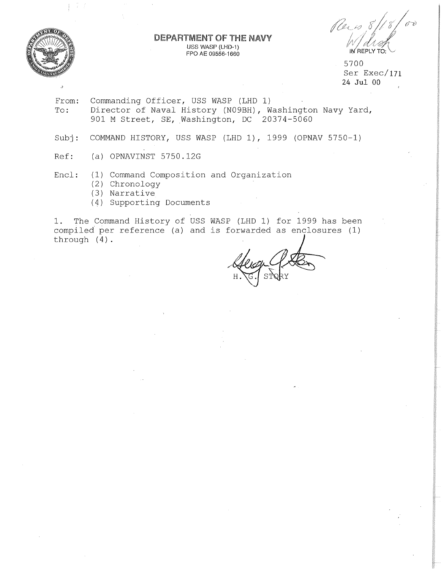

))

### **DEPARTMENT OF THE NAVY** USS WASP (LHD-1) FPO AE 09556-1660

Reis 8/18/00 IN REPLY TO:

5700 Ser Exec/171 24 **Jul** 00

- From: To: Commanding Officer, USS WASP (LHD 1) Director of Naval History (N09BH), Washington Navy Yard, 901 M Street, SE, Washington, DC 20374-5060
- Sub<sub>j</sub>: COMMAND HISTORY, USS WASP (LHD 1), 1999 (OPNAV 5750-1)
- Ref: (a) OPNAVINST 5750.12G

Encl: (1) Command Composition and Organization

- (2) Chronology
- (3) Narrative
- (4) Supporting Documents

1. The Command History of USS WASP (LHD 1) for 1999 has been compiled per reference (a) and is forwarded as enclosures (1) 1. The Command History of USS WASP (LHD 1) for 1999 has been<br>compiled per reference (a) and is forwarded as enclosures (1)<br>through (4).

 $H.$  G.  $SINRY$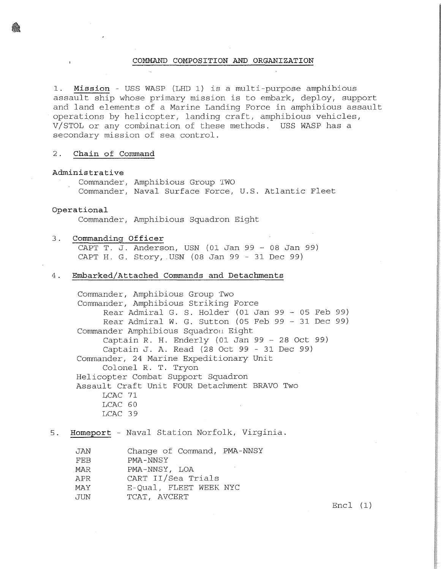## **COMMAND COMPOSITION AND ORGANIZATION**

1. **Mission** - USS WASP (LHD 1) is a multi-purpose amphibious assault ship whose primary mission is to embark, deploy, support and land elements of a Marine Landing Force in amphibious assault operations by helicopter, landing craft, amphibious vehicles, V/STOL or any combination of these methods. USS WASP has a secondary mission of sea control.

## 2. **Chain of Command**

#### **Administrative**

Commander, Amphibious Group TWO Commander, Naval Surface Force, U.S. Atlantic Fleet

#### **Operational**

Commander, Amphibious Squadron Eight

# 3. **Commanding Officer**

CAPT T. J. Anderson, USN (01 Jan 99 - 08 Jan 99) CAPT H. G. Story, .USN (08 Jan 99 - 31 Dec 99)

## 4. **Embarked/Attached Commands and Detachments**

Commander, Amphibious Group Two Commander, Amphibious Striking Force Rear Admiral G. S. Holder (01 Jan 99 - 05 Feb 99) Rear Admiral W. G. Sutton (05 Feb 99 - 31 Dec 99) Commander Amphibious Squadron Eight Captain R. H. Enderly (01 Jan 99 - 28 Oct 99) Captain J. A. Read (28 Oct 99 - 31 Dec 99) Commander, 24 Marine Expeditionary Unit Colonel R. T. Tryon Helicopter Combat Support Squadron Assault Craft Unit FOUR Detachment BRAVO Two LCAC 71 LCAC 60 LCAC 39

## 5. **Homeport** - Naval Station Norfolk, Virginia.

| JAN | Change of Command, PMA-NNSY |
|-----|-----------------------------|
| FEB | PMA-NNSY                    |
| MAR | PMA-NNSY, LOA               |
| APR | CART II/Sea Trials          |
| MAY | E-Qual, FLEET WEEK NYC      |
| JUN | TCAT, AVCERT                |

 $Enc1 (1)$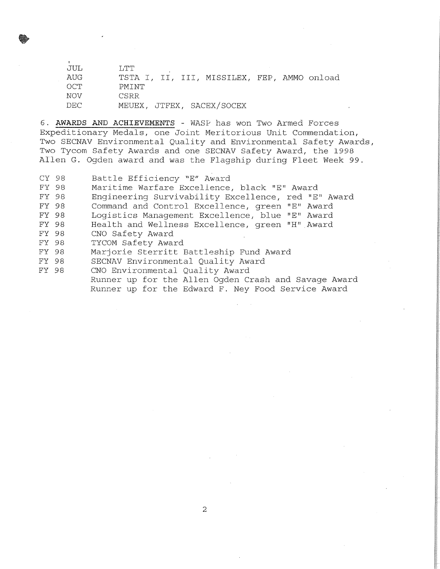JUL LTT AUG TSTA I, II, III, MISSILEX, FEP, AMMO onload<br>OCT PMINT  $\verb|PMINT|$ NOV CSRR DEC MEUEX, JTFEX, SACEX/SOCEX

6. **AWARDS** AND **ACHIEVEMENTS** - WASf' has won Two Armed Forces Expeditionary Medals, one Joint Meritorious Unit Commendation, Two SECNAV Environmental Quality and Environmental Safety Awards, Two Tycom Safety Awards and one SECNAV Safety Award, the 1998 Allen G. Ogden award and was the Flagship during Fleet Week 99.

CY 98 FY 98 FY 98 FY 98 FY 98 FY 98 FY 98 FY 98 FY 98 FY 98 FY 98 Battle Efficiency "E" Award Maritime Warfare Excelience, black "E" Award Engineering Survivability Excellence, red "E" Award Command and Control Excellence, green "E" Award Logistics Management Excellence, blue "E" Award Health and Wellness Excellence, green "H" .Award CNO Safety Award TYCOM Safety Award Marjorie Sterritt Battleship Fund Award SECNAV Environmental Quality Award CNO Environmental Quality Award Runner up for the Allen Ogden Crash and Savage Award Runner up for the Edward F. Ney Food Service Award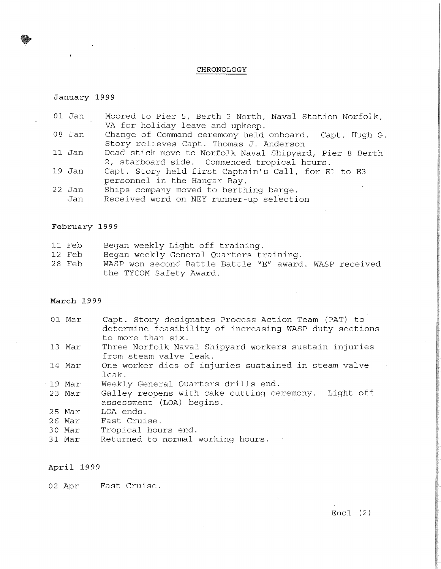## **CHRONOLOGY**

### **January 1999**

•

- 01 Jan Moored to Pier 5, Berth *2* North, Naval Station Norfolk, VA for holiday leave and upkeep.
- 08 Jan Change of Command ceremony held onboard. Capt. Hugh G. Story relieves Capt. Thomas J. Anderson
- 11 Jan Dead stick move to NorfoJk Naval Shipyard, Pier 8 Berth 2, starboard side. Commenced tropical hours.
- 19 Jan Capt. Story held first Captain's Call, for El to E3 personnel in the Hangar Bay.
- 22 Jan Jan Ships company moved to berthing barge. Received word on NEY runner-up selection

## **February 1999**

|  | 11 Feb |  |  |  |  | Began weekly Light off training. |
|--|--------|--|--|--|--|----------------------------------|
|--|--------|--|--|--|--|----------------------------------|

- 12 Feb Began weekly General Quarters training.
- 28 Feb WASP won second Battle Battle "E" award. WASP received the TYCOM Safety Award.

## **March 1999**

- 01 Mar Capt. Story designates Process Action Team (PAT) to determine feasibility of increasing WASP duty sections to more than six.
- 13 Mar Three Norfolk Naval Shipyard workers sustain injuries from steam valve leak.
- 14 Mar One worker dies of injuries sustained in steam valve leak.
- 19 Mar Weekly General Quarters drills end.
- 23 Mar Galley reopens with cake cutting ceremony. Light off assessment (LOA) begins.
- 25 Mar LOA ends.
- 26 Mar Fast Cruise.
- 30 Mar Tropical hours end.
- 31 Mar Returned to normal working hours.

## **April 1999**

02 Apr Fast Cruise.

 $Enc1 (2)$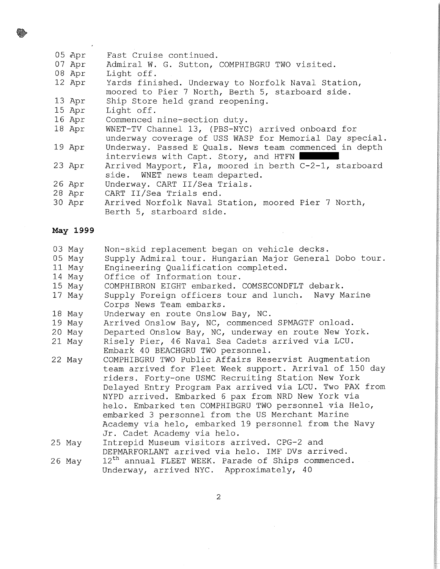- 05 Apr Fast Cruise continued.
- 07 Apr Admiral W. G. Sutton, COMPHIBGRU TWO visited.
- 08 Apr Light off.
- 12 Apr Yards finished. Underway to Norfolk Naval Station, moored to Pier 7 North, Berth 5, starboard side.

13 Apr Ship Store held grand reopening.

- 15 Apr Light off.
- 16 Apr Commenced nine-section duty.
- 18 Apr WNET-TV Channel 13, (PBS-NYC) arrived onboard for underway coverage of USS WASP for Memorial Day special.
- 19 Apr Underway. Passed E Quals. News team commenced in depth interviews with Capt. Story, and HTFN |
- 23 Apr Arrived Mayport, Fla, moored in berth C-2-1, starboard side. WNET news team departed.
- 26 Apr Underway. CART II/Sea Trials.
- 28 Apr CART II/Sea Trials end.
- 30 Apr Arrived Norfolk Naval Station, moored Pier 7 North, Berth 5, starboard side.

# **May 1999**

- 03 May Non-skid replacement began on vehicle decks.
- 05 May Supply Admiral tour. Hungarian Major General Dobo tour.
- 11 May Engineering Qualification completed.
- 14 May Office *of* Information tour.
- 15 May COMPHIBRON EIGHT embarked. COMSECONDFLT debark.
- 17 May Supply Foreign officers tour and lunch. Navy Marine Corps News Team embarks.
- 18 May Underway en route Onslow Bay, NC.
- 19 May Arrived Onslow Bay, NC, commenced SPMAGTF onload.
- 20 May Departed Onslow Bay, NC, underway en route New York.
- 21 May Risely Pier, 46 Naval Sea Cadets arrived via LCU. Embark 40 BEACHGRU TWO personnel.
- 22 May COMPHIBGRU TWO Public Affairs Reservist Augmentation team arrived for Fleet Week support. Arrival of 150 day riders. Forty-one USMC Recruiting Station New York Delayed Entry Program Pax arrived via LCU. Two PAX from NYPD arrived. Embarked 6 pax from NRD New York via helo. Embarked ten COMPHIBGRU TWO personnel via Helo, embarked 3 personnel from the US Merchant Marine Academy via helo, embarked 19 personnel from the Navy Jr. Cadet Academy via helo.
- 25 May Intrepid Museum visitors arrived. CPG-2 and DEPMARFORLANT arrived via helo. IMF DVs arrived.
- 26 May 12<sup>th</sup> annual FLEET WEEK. Parade of Ships commenced. Underway, arrived NYC. Approximately, 40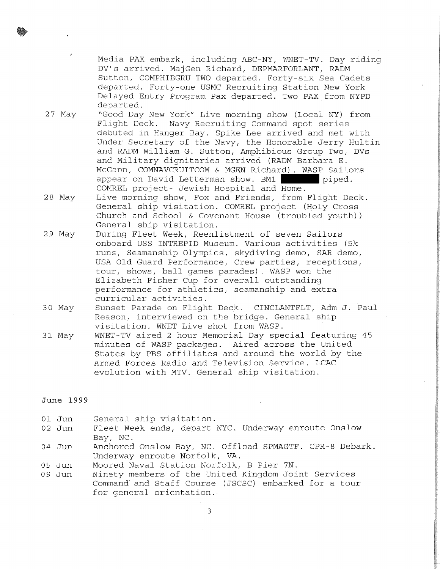Media PAX embark, including ABC-NY, WNET-TV. Day riding DV's arrived. MajGen Richard, DEPMARFORLANT, RADM Sutton, COMPHIBGRU TWO departed. Forty-six Sea Cadets departed. Forty-one USMC Recruiting Station New York Delayed Entry Program Pax departed. Two PAX from NYPD departed.

27 May "Good Day New York" Live morning show (Local NY) from Flight Deck. Navy Recruiting Command spot series debuted in Hanger Bay. Spike Lee arrived and met with Under Secretary of the Navy, the Honorable Jerry Hultin and RADM William G. Sutton, Amphibious Group Two, DVs and Military dignitaries arrived (RADM Barbara E. McGann, COMNAVCRUITCOM & MGEN Richard) . WASP Sailors appear on David Letterman show. BMl **11111111** piped. COMREL project- Jewish Hospital and Home.

28 May Live morning show, Fox and Friends, from Flight Deck. General ship visitation. COMREL project (Holy Cross Church and School & Covenant House (troubled youth)) General ship visitation.

- 29 May During Fleet Week, Reenlistment of seven Sailors onboard USS INTREPID Museum. Various activities (5k runs, Seamanship Olympics, skydiving demo, SAR demo, USA Old Guard Performance, Crew parties, receptions, tour, shows, ball games parades). WASP won the Elizabeth Fisher Cup for overall outstanding performance for athletics, seamanship and extra curricular activities.
- 30 May Sunset Parade on Flight Deck. CINCLANTFLT, Adm J. Paul Reason, interviewed on the bridge. General ship visitation. WNET Live shot from WASP.
- 31 May WNET-TV aired 2 hour Memorial Day special featuring 45 minutes of WASP packages. Aired across the United States by PBS affiliates and around the world by the Armed Forces Radio and Television Service. LCAC evolution with MTV. General ship visitation.

# **June 1999**

- 01 Jun General ship visitation.
- 02 Jun Fleet Week ends, depart NYC. Underway enroute Onslow Bay, NC.
- 04 Jun Anchored Onslow Bay, NC. Offload SPMAGTF. CPR-8 Debark. Underway enroute Norfolk, VA.
- 05 Jun Moored Naval Station Norfolk, B Pier 7N.
- 09 Jun Ninety members of the United Kingdom Joint Services Command and Staff Course (JSCSC) embarked for a tour for general orientation.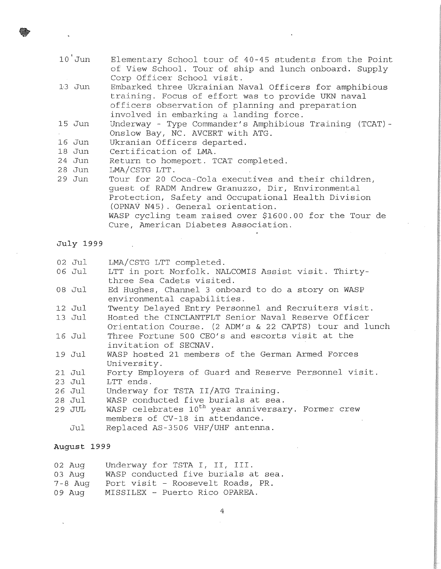- $10'$  Jun Elementary School tour of 40-45 students from the Point of View School. Tour of ship and lunch onboard. Supply Corp Officer School visit.
- 1·3 Jun Embarked three Ukrainian Naval Officers for amphibious training. Focus of effort was to provide UKN naval officers observation of planning and preparation involved in embarking a landing force.
- 15 Jun Underway - Type Commander's Amphibious Training (TCAT)- Onslow Bay, NC. AVCERT with ATG.
- 16 Jun Ukranian Officers departed.
- 18 Jun Certification of LMA.
- 24 Jun Return to homeport. TCAT completed.
- 28 Jun LMA/CSTG LTT.
- 29 Jun Tour for 20 Coca-Cola executives and their children, guest of RADM Andrew Granuzzo, Dir, Environmental Protection, Safety and Occupational Health Division (OPNAV N45) . General orientation. WASP cycling team raised over \$1600.00 for the Tour de Cure, American Diabetes Association.
- **July 1999**
- 02 Jul LMA/CSTG LTT completed.
- 06 Jul LTT in port Norfolk. NALCOMIS Assist visit. Thirtythree Sea Cadets visited.
- 08 Jul Ed Hughes, Channel 3 onboard to do a story on WASP environmental capabilities.
- 12 Jul Twenty Delayed Entry Personnel and Recruiters visit.
- 13 Jul Hosted the CINCLANTFLT Senior Naval Reserve Officer Orientation Course. (2 ADM's & 22 CAPTS) tour and lunch
- 16 Jul Three Fortune 500 CEO's and escorts visit at the invitation of SECNAV.
- 19 Jul WASP hosted 21 members of the German Armed Forces University.
- 21 Jul Forty Employers of Guard and Reserve Personnel visit.
- 23 Jul LTT ends.
- 26 Jul Underway for TSTA II/ATG Training.
- 28 Jul WASP conducted five burials at sea.
- 29 JUL WASP celebrates 10<sup>th</sup> year anniversary. Former crew members of CV-18 in attendance.
	- Jul Replaced AS-3506 VHF/UHF antenna.

## **August 1999**

- 02 Aug Underway for TSTA I, II, III.
- 03 Aug WASP conducted five burials at sea.
- 7-8 Aug Port visit - Roosevelt Roads, PR.
- 09 Aug MISSILEX - Puerto Rico OPAREA.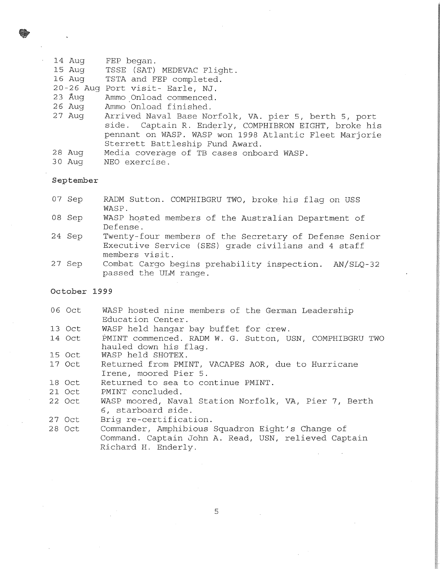- 14 Aug FEP began.
- 15 Aug TSSE (SAT) MEDEVAC Flight.
- 16 Aug TSTA and FEP completed.
- 20-26 Aug Port visit- Earle, NJ.
- 23 Aug Ammo Onload commenced.
- 26 Aug Ammo Onload finished.
- 27 Aug Arrived Naval Base Norfolk, VA. pier 5, berth 5, port side. Captain R. Enderly, COMPHIBRON EIGHT, broke his pennant on WASP. WASP won 1998 Atlantic Fleet Marjorie Sterrett Battleship Fund Award.
- 28 Aug Media coverage of TB cases onboard WASP.
- 30 Aug NEO exercise.

**September** 

- 07 Sep RADM Sutton. COMPHIBGRU TWO, broke his flag on USS WASP.
- 08 Sep WASP hosted members of the Australian Department of Defense.
- 24 Sep Twenty-four members of the Secretary of Defense Senior Executive Service (SES) grade civilians and 4 staff members visit.
- 27 Sep Combat Cargo begins prehability inspection. AN/SLQ-32 passed the ULM range.

### **October 1999**

- 06 Oct WASP hosted nine members of the German Leadership Education Center.
- 13 Oct WASP held hangar bay buffet for crew.
- 14 Oct PMINT commenced. RADM W. G. Sutton, USN, COMPHIBGRU TWO hauled down his flag.
- 15 Oct WASP held SHOTEX.
- 17 Oct Returned from PMINT, VACAPES AOR, due to Hurricane Irene, moored Pier 5.
- 18 Oct Returned to sea to continue PMINT.
- 21 Oct PMINT concluded.
- 22 Oct WASP moored, Naval Station Norfolk, VA, Pier 7, Berth 6, starboard side.
- 27 Oct Brig re-certification.
- 28 Oct Commander, Amphibious Squadron Eight's Change of Command. Captain John A. Read, USN, relieved Captain Richard H. Enderly.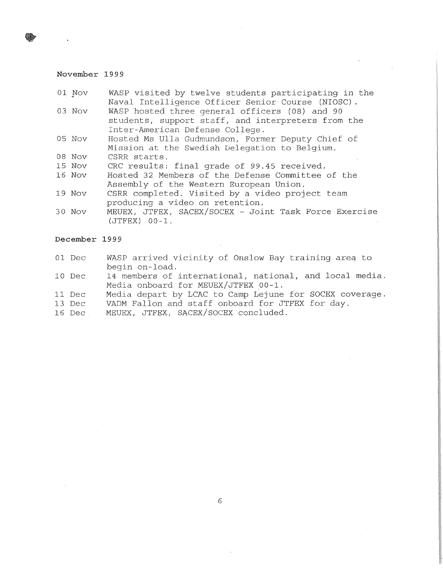# **November 1999**

| 01 Nov        | WASP visited by twelve students participating in the<br>Naval Intelligence Officer Senior Course (NIOSC).                             |
|---------------|---------------------------------------------------------------------------------------------------------------------------------------|
| 03 Nov        | WASP hosted three general officers (08) and 90<br>students, support staff, and interpreters from the                                  |
| 05 Nov        | Inter-American Defense College.<br>Hosted Ms Ulla Gudmundson, Former Deputy Chief of<br>Mission at the Swedish Delegation to Belgium. |
| 08 Nov        | CSRR starts.                                                                                                                          |
| 15 Nov        | CRC results: final grade of 99.45 received.                                                                                           |
| 16 Nov        | Hosted 32 Members of the Defense Committee of the<br>Assembly of the Western European Union.                                          |
| 19 Nov        | CSRR completed. Visited by a video project team<br>producing a video on retention.                                                    |
| 30 Nov        | MEUEX, JTFEX, SACEX/SOCEX - Joint Task Force Exercise<br>$(JTFEX)$ 00-1.                                                              |
| December 1999 |                                                                                                                                       |
| 01 Dec        | WASP arrived vicinity of Onslow Bay training area to<br>begin on-load.                                                                |

- 10 Dec 14 members of international, national, and local media. Media onboard for MEUEX/JTFEX 00-1.
- 11 Dec Media depart by LCAC to Camp Lejune for SOCEX coverage.
- 13 Dec VADM Fallon and staff onboard for JTFEX for day.
- 16 Dec MEUEX, JTFEX, SACEX/SOCEX concluded.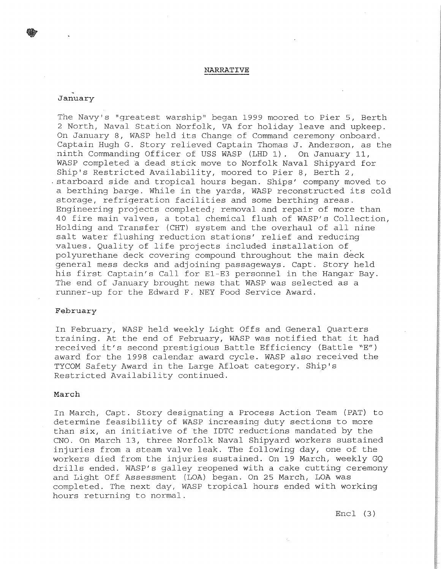#### **NARRATIVE**

## **January**

The Navy's "greatest warship" began 1999 moored to Pier 5, Berth 2 North, Naval Station Norfolk, VA for holiday leave and upkeep. On January 8, WASP held its Change of Command ceremony onboard. Captain Hugh G. Story relieved Captain Thomas J. Anderson, as the ninth Commanding Officer of USS WASP (LHD 1). On January 11, WASP completed a dead stick move to Norfolk Naval Shipyard for Ship's Restricted Availability, moored to Pier 8, Berth 2, starboard side and tropical hours began. Ships' company moved to a berthing barge. While in the yards, WASP reconstructed its cold storage, refrigeration facilities and some berthing areas. Engineering projects completed; removal and repair of more than 40 fire main valves, a total chemical flush of WASP's Collection, Holding and Transfer (CHT) system and the overhaul of all nine salt water flushing reduction stations' relief and reducing values. Quality of life projects included installation of polyurethane deck covering compound throughout the main deck general mess decks and adjoining passageways. Capt. Story held his first Captain's Call for El-E3 personnel in the Hangar Bay. The end of January brought news that WASP was selected as a runner-up for the Edward F. NEY Food Service Award.

# **February**

In February, WASP held weekly Light Offs and General Quarters training. At the end of February, WASP was notified that it had received it's second prestigious Battle Efficiency (Battle "E") award for the 1998 calendar award cycle. WASP also received the TYCOM Safety Award in the Large Afloat category. Ship's Restricted Availability continued.

#### **March**

In March, Capt. Story designating a Process Action Team (PAT) to determine feasibility of WASP increasing duty sections to more than six, an initiative of the IDTC reductions mandated by the CNO. On March 13, three Norfolk Naval Shipyard workers sustained injuries from a steam valve leak. The following day, one of the workers died from the injuries sustained. On 19 March, weekly GQ drills ended. WASP's galley reopened with a cake cutting ceremony and Light Off Assessment (LOA) began. On 25 March, LOA was completed. The next day, WASP tropical hours ended with working hours returning to normal.

Encl (3)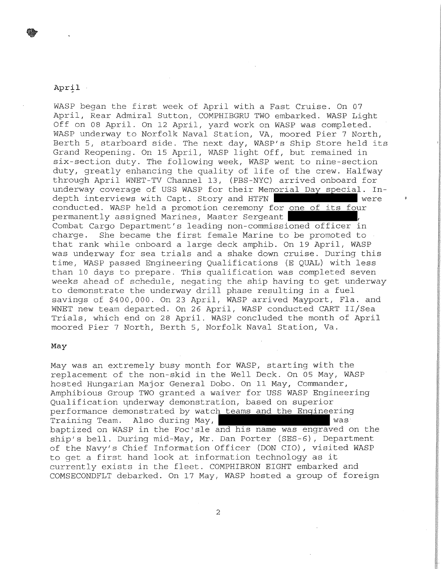# $April$ .

WASP began the first week of April with a Fast Cruise. On 07 April, Rear Admiral Sutton, COMPHIBGRU TWO embarked. WASP Light Off on 08 April. On 12 April, yard work on WASP was completed. WASP underway to Norfolk Naval Station, VA, moored Pier 7 North, Berth 5, starboard side. The next day, WASP'S Ship Store held its Grand Reopening. On 15 April, WASP light Off, but remained in six-section duty. The following week, WASP went to nine-section duty, greatly enhancing the quality of life of the crew. Halfway through April WNET-TV Channel 13, (PBS-NYC) arrived onboard for underway coverage of USS WASP for their Memorial Day special. In-<br>depth interviews with Capt. Story and HTFN depth interviews with Capt. Story and HTFN conducted. WASP held a promotion ceremony for one of its four permanently assigned Marines, Master Sergeant Combat Cargo Department's leading non-commissioned officer in charge. She became the first female Marine to be promoted to that rank while onboard a large deck amphib. On 19 April, WASP was underway for sea trials and a shake down cruise. During this time, WASP passed Engineering Qualifications (E QUAL) with less than 10 days to prepare. This qualification was completed seven weeks ahead of schedule, negating the ship having to get underway to demonstrate the underway drill phase resulting in a fuel savings of \$400,000. On 23 April, WASP arrived Mayport, Fla. and WNET new team departed. On 26 April, WASP conducted CART II/Sea Trials, which end on 28 April. WASP concluded the month of April moored Pier 7 North, Berth 5, Norfolk Naval Station, Va.

## **May**

May was an extremely busy month for WASP, starting with the replacement of the non-skid in the Well Deck. On 05 May, WASP hosted Hungarian Major General Dobo. On 11 May, Commander, Amphibious Group TWO granted a waiver for USS WASP Engineering Qualification underway demonstration, based on superior performance demonstrated by watch teams and the Engineering Training Team. Also during May, was baptized on WASP in the Foc'sle and his name was engraved on the ship's bell. During mid-May, Mr. Dan Porter (SES-6), Department of the Navy's Chief Information Officer (DON CIO), visited WASP to get a first hand look at information technology as it currently exists in the fleet. COMPHIBRON EIGHT embarked and COMSECONDFLT debarked. On 17 May, WASP hosted a group of foreign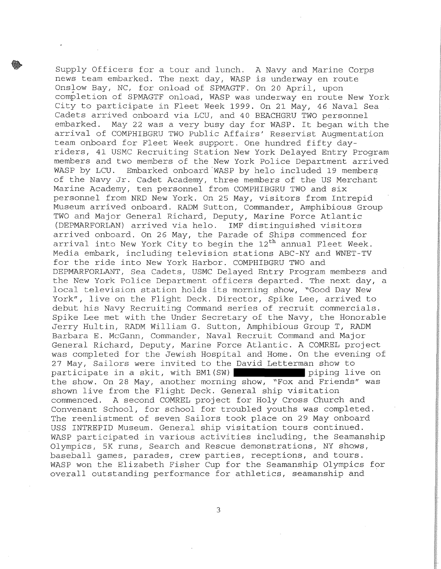Supply Officers for a tour and lunch. A Navy and Marine Corps news team embarked. The next day, WASP is underway en route Onslow Bay, NC, for onload of SPMAGTF. On 20 April, upon completion of SPMAGTF onload, WASP was underway en route New York City to participate in Fleet Week 1999. On 21 May, 46 Naval Sea Cadets arrived onboard via LCU, and 40 BEACHGRU TWO personnel May 22 was a very busy day for WASP. It began with the arrival of COMPHIBGRU TWO Public Affairs' Reservist Augmentation team onboard for Fleet Week support. One hundred fifty dayriders, 41 USMC Recruiting Station New York Delayed Entry Program members and two members of the New York Police Department arrived WASP by LCU. Embarked onboard WASP by helo included 19 members of the Navy Jr. Cadet Academy, three members of the US Merchant Marine Academy, ten personnel from COMPHIBGRU TWO and six personnel from NRD New York. On 25 May, visitors from Intrepid Museum arrived onboard. RADM Sutton, Commander, Amphibious Group TWO and Major General Richard, Deputy, Marine Force Atlantic (DEPMARFORLAN) arrived via helo. IMF distinguished visitors arrived onboard. On 26 May, the Parade of Ships commenced for arrival into New York City to begin the 12<sup>th</sup> annual Fleet Week. Media embark, including television stations ABC-NY and WNET-TV for the ride into New York Harbor. COMPHIBGRU TWO and DEPMARFORLANT, Sea Cadets, USMC Delayed Entry Program members and the New York Police Department officers departed. The next day, a local television station holds its morning show, "Good Day New York", live on the Flight Deck. Director, Spike Lee, arrived to debut his Navy Recruiting Command series of recruit commercials. Spike Lee met with the Under Secretary of the Navy, the Honorable Jerry Hultin, RADM William G. Sutton, Amphibious Group T, RADM Barbara E. McGann, Commander, Naval Recruit Command and Major General Richard, Deputy, Marine Force Atlantic. A COMREL project was completed for the Jewish Hospital and Home. On the evening of 27 May, Sailors were invited to the David Letterman show to participate in a skit, with BM1(SW) piping live on the show. On 28 May, another morning show, "Fox and Friends" was shown live from the Flight Deck. General ship visitation commenced. A second COMREL project for Holy Cross Church and Convenant School, for school for troubled youths was completed. The reenlistment of seven Sailors took place on 29 May onboard USS INTREPID Museum. General ship visitation tours continued. WASP participated in various activities including, the Seamanship Olympics, 5K runs, Search and Rescue demonstrations, NY shows, baseball games, parades, crew parties, receptions, and tours. WASP won the Elizabeth Fisher Cup for the Seamanship Olympics for overall outstanding performance for athletics, seamanship and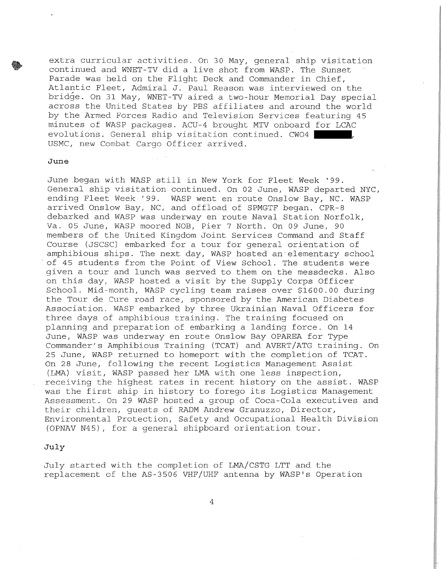extra curricular activities. On 30 May, general ship visitation continued and WNET-TV did a live shot from WASP. The Sunset Parade was held on the Flight Deck and Commander in Chief, Atlantic Fleet, Admiral J. Paul Reason was interviewed on the bridge. On 31 May, WNET-TV aired a two-hour Memorial Day special across the United States by PBS affiliates and around the world by the Armed Forces Radio ahd Television Services featuring 45 minutes of WASP packages. ACU-4 brought MTV onboard for LCAC evolutions. General ship visitation continued. CW04 | USMC, new Combat Cargo Officer arrived.

# **June**

June began with WASP still in New York for Fleet Week '99. General ship visitation continued. On 02 June, WASP departed NYC, ending Fleet Week '99. WASP went en route Onslow Bay, NC. WASP arrived Onslow Bay, NC, and offload of SPMGTF began. CPR-8 debarked and WASP was underway en route Naval Station Norfolk, Va. 05 June, WASP moored NOB, Pier 7 North. On 09 June, 90 members of the United Kingdom Joint Services Command and Staff Course (JSCSC) embarked for a tour for general orientation of amphibious ships. The next day, WASP hosted an· elementary school of 45 students from the Point of View School. The students were given a tour and lunch was served to them on the messdecks. Also on this day, WASP hosted a visit by the Supply Corps Officer School. Mid-month, WASP cycling team raises over \$1600.00 during the Tour de Cure road race, sponsored by the American Diabetes Association. WASP embarked by three Ukrainian Naval Officers for three days of amphibious training. The training focused on planning and preparation of embarking a landing force. On 14 June, WASP was underway en route Onslow Bay OPAREA for Type Commander's Amphibious Training (TCAT) and AVERT/ATG training. On 25 June, WASP returned to homeport with the completion of TCAT. On 28 June, following the recent Logistics Management Assist (LMA) visit, WASP passed her LMA with one less inspection, receiving the highest rates in recent history on the assist. WASP was the first ship in history to forego its Logistics Management Assessment. On 29 WASP hosted a group of Coca-Cola executives and their children, guests of RADM Andrew Granuzzo, Director, Environmental Protection, Safety and Occupational Health Division (OPNAV N45), for a general shipboard orientation tour.

# **July**

July started with the completion of LMA/CSTG LTT and the replacement of the AS-3506 VHF/UHF antenna by WASP's Operation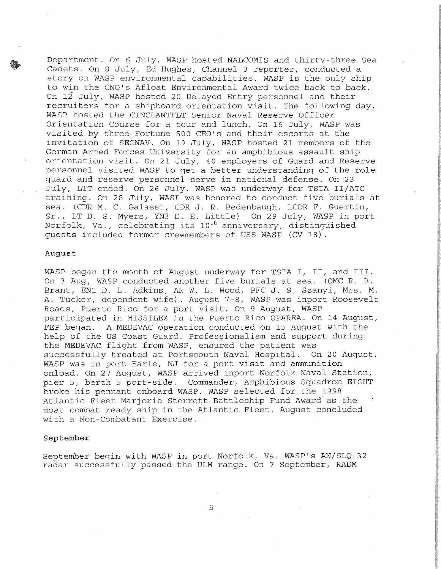Department. On 6 July, WASP hosted NALCOMIS and thirty-three Sea Cadets. On 8 July, Ed Hughes, Channel 3 reporter, conducted a story on WASP environmental capabilities. WASP is the only ship to win the CNO's Afloat Environmental Award twice back to back. On 12 July, WASP hosted 20 Delayed Entry personnel and their recruiters for a shipboard orientation visit. The following day, WASP hosted the CINCLANTFLT Senior Naval Reserve Officer Orientation Course for a tour and lunch. On 16 July, WASP was visited by three Fortune 500 CEO's and their escorts at the invitation of SECNAV. On 19 July, WASP hosted 21 members of the German Armed Forces University for an amphibious assault ship orientation visit. On 21 July, 40 employers of Guard and Reserve personnel visited WASP to get a better understanding of the role guard and reserve personnel serve in national defense. On 23 July, LTT ended. On 26 July, WASP was underway for TSTA II/ATG training. On 28 July, WASP was honored to conduct five burials at sea. (CDR M. C. Galassi, CDR J. R. Bedenbaugh, LCDR F. Guertin, Sr., LTD. S. Myers, YN3 D. E. Little) On 29 July, WASP in port Norfolk, Va., celebrating its 10<sup>th</sup> anniversary, distinguished guests included former crewmembers of USS WASP (CV-18) .

#### **August**

WASP began the month of August underway for TSTA I, II, and III. On 3 Aug, WASP conducted another five burials at sea. (QMC R. B. Brant, ENl D. L. Adkins, AN W. L. Wood, PFC J. S. Szanyi, Mrs. M. A. Tucker, dependent wife). August 7-8, WASP was inport Roosevelt Roads, Puerto Rico for a port visit. On 9 August, WASP participated in MISSILEX in the Puerto Rico OPAREA. On 14 August, FEP began. A MEDEVAC operation conducted on 15 August with the help of the US Coast Guard. Professionalism and support during the MEDEVAC flight from WASP, ensured the patient was successfully treated at Portsmouth Naval Hospital. On 20 August, WASP was in port Earle, NJ for a port visit and ammunition onload. On 27 August, WASP arrived inport Norfolk Naval Station, pier 5, berth 5 port-side. Commander, Amphibious Squadron EIGHT broke his pennant onboard WASP. WASP selected for the 1998 Atlantic Fleet Marjorie Sterrett Battleship Fund Award as the most combat ready ship in the Atlantic Fleet. August concluded with a Non-Combatant Exercise.

### **September**

September begin with WASP in port Norfolk, Va. WASP'S AN/SLQ-32 radar successfully passed the ULM range. On 7 September, RADM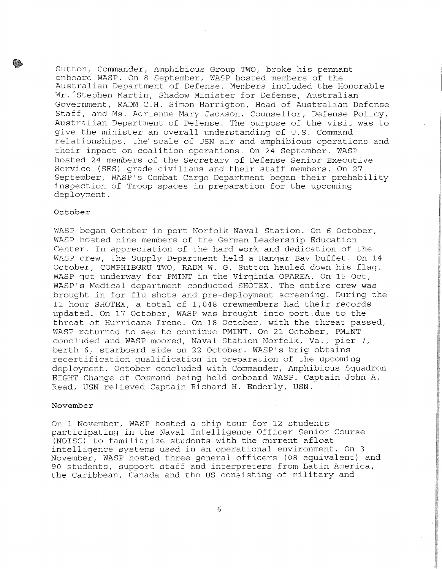Sutton, Commander, Amphibious Group TWO, broke his pennant onboard WASP. On 8 September, WASP hosted members of the Australian Department of Defense. Members included the Honorable Mr. Stephen Martin, Shadow Minister for Defense, Australian Government, RADM C.H. Simon Harrigton, Head of Australian Defense Staff, and Ms. Adrienne Mary Jackson, Counsellor, Defense Policy, Australian Department of Defense. The purpose of the visit was to give the minister an overall understanding of U.S. Command relationships, the' scale of USN air and amphibious operations and their inpact on coalition operations. On 24 September, WASP hosted 24 members of the Secretary of Defense Senior Executive Service (SES) grade civilians and their staff members. On 27 September, WASP's Combat Cargo Department began their prehability inspection of Troop spaces in preparation for the upcoming deployment.

# **October**

WASP began October in port Norfolk Naval Station. On 6 October, WASP hosted nine members of the German Leadership Education Center. In appreciation of the hard work and dedication of the WASP crew, the Supply Department held a Hangar Bay buffet. On 14 October, COMPHIBGRU TWO, RADM W. G. Sutton hauled down his flag. WASP got underway for PMINT in the Virginia OPAREA. On 15 Oct, WASP's Medical department conducted SHOTEX. The entire crew was brought in for flu shots and pre-deployment screening. During the 11 hour SHOTEX, a total of 1,048 crewmembers had their records updated. On 17 October, WASP was brought into port due to the threat of Hurricane Irene. On 18 October, with the threat passed, WASP returned to sea to continue PMINT. On 21 October, PMINT concluded and WASP moored, Naval Station Norfolk, Va., pier 7, berth 6, starboard side on 22 October. WASP's brig obtains recertification qualification in preparation of the upcoming deployment. October concluded with Commander, Amphibious Squadron EIGHT Change of Command being held onboard WASP. Captain John A. Read, USN relieved Captain Richard H. Enderly, USN.

## **November**

On 1 November, WASP hosted a ship tour for 12 students participating in the Naval Intelligence Officer Senior Course (NOISC) to familiarize students with the current afloat intelligence systems used in an operational environment. On 3 November, WASP hosted three general officers (08 equivalent) and 90 students, support staff and interpreters from Latin America, the Caribbean, Canada and the US consisting of military and